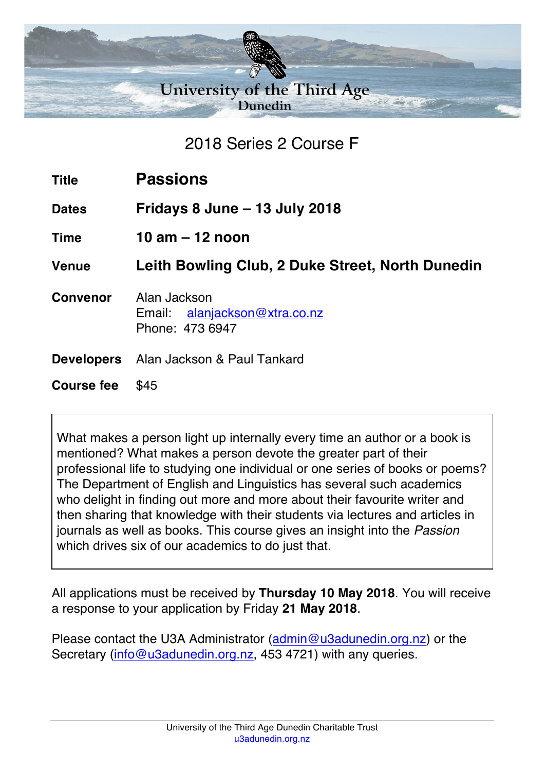

2018 Series 2 Course F

| <b>Title</b>      | <b>Passions</b>                                                  |
|-------------------|------------------------------------------------------------------|
| <b>Dates</b>      | Fridays 8 June $-$ 13 July 2018                                  |
| <b>Time</b>       | 10 am $-$ 12 noon                                                |
| <b>Venue</b>      | Leith Bowling Club, 2 Duke Street, North Dunedin                 |
| <b>Convenor</b>   | Alan Jackson<br>Email: alanjackson@xtra.co.nz<br>Phone: 473 6947 |
|                   | <b>Developers</b> Alan Jackson & Paul Tankard                    |
| <b>Course fee</b> | \$45                                                             |

What makes a person light up internally every time an author or a book is mentioned? What makes a person devote the greater part of their professional life to studying one individual or one series of books or poems? The Department of English and Linguistics has several such academics who delight in finding out more and more about their favourite writer and then sharing that knowledge with their students via lectures and articles in journals as well as books. This course gives an insight into the *Passion* which drives six of our academics to do just that.

All applications must be received by **Thursday 10 May 2018**. You will receive a response to your application by Friday **21 May 2018**.

Please contact the U3A Administrator (admin@u3adunedin.org.nz) or the Secretary (info@u3adunedin.org.nz, 453 4721) with any queries.